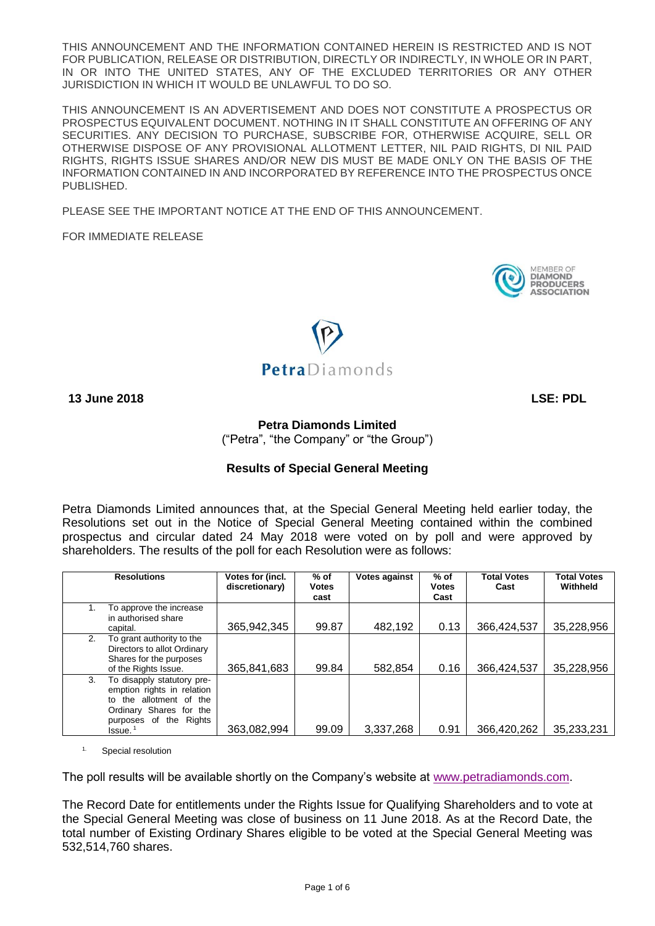THIS ANNOUNCEMENT AND THE INFORMATION CONTAINED HEREIN IS RESTRICTED AND IS NOT FOR PUBLICATION, RELEASE OR DISTRIBUTION, DIRECTLY OR INDIRECTLY, IN WHOLE OR IN PART, IN OR INTO THE UNITED STATES, ANY OF THE EXCLUDED TERRITORIES OR ANY OTHER JURISDICTION IN WHICH IT WOULD BE UNLAWFUL TO DO SO.

THIS ANNOUNCEMENT IS AN ADVERTISEMENT AND DOES NOT CONSTITUTE A PROSPECTUS OR PROSPECTUS EQUIVALENT DOCUMENT. NOTHING IN IT SHALL CONSTITUTE AN OFFERING OF ANY SECURITIES. ANY DECISION TO PURCHASE, SUBSCRIBE FOR, OTHERWISE ACQUIRE, SELL OR OTHERWISE DISPOSE OF ANY PROVISIONAL ALLOTMENT LETTER, NIL PAID RIGHTS, DI NIL PAID RIGHTS, RIGHTS ISSUE SHARES AND/OR NEW DIS MUST BE MADE ONLY ON THE BASIS OF THE INFORMATION CONTAINED IN AND INCORPORATED BY REFERENCE INTO THE PROSPECTUS ONCE PUBLISHED.

PLEASE SEE THE IMPORTANT NOTICE AT THE END OF THIS ANNOUNCEMENT.

FOR IMMEDIATE RELEASE





**13 June 2018 LSE: PDL**

**Petra Diamonds Limited** 

("Petra", "the Company" or "the Group")

# **Results of Special General Meeting**

Petra Diamonds Limited announces that, at the Special General Meeting held earlier today, the Resolutions set out in the Notice of Special General Meeting contained within the combined prospectus and circular dated 24 May 2018 were voted on by poll and were approved by shareholders. The results of the poll for each Resolution were as follows:

|    | <b>Resolutions</b>                                                                                                                                        | Votes for (incl.<br>discretionary) | % of<br><b>Votes</b><br>cast | <b>Votes against</b> | $%$ of<br><b>Votes</b><br>Cast | <b>Total Votes</b><br>Cast | <b>Total Votes</b><br>Withheld |
|----|-----------------------------------------------------------------------------------------------------------------------------------------------------------|------------------------------------|------------------------------|----------------------|--------------------------------|----------------------------|--------------------------------|
|    | To approve the increase<br>in authorised share<br>capital.                                                                                                | 365,942,345                        | 99.87                        | 482,192              | 0.13                           | 366,424,537                | 35,228,956                     |
| 2. | To grant authority to the<br>Directors to allot Ordinary<br>Shares for the purposes<br>of the Rights Issue.                                               | 365,841,683                        | 99.84                        | 582.854              | 0.16                           | 366,424,537                | 35,228,956                     |
| 3. | To disapply statutory pre-<br>emption rights in relation<br>to the allotment of the<br>Ordinary Shares for the<br>purposes of the Rights<br>$l$ ssue. $1$ | 363,082,994                        | 99.09                        | 3,337,268            | 0.91                           | 366,420,262                | 35,233,231                     |

Special resolution

The poll results will be available shortly on the Company's website at [www.petradiamonds.com.](http://www.petradiamonds.com/)

The Record Date for entitlements under the Rights Issue for Qualifying Shareholders and to vote at the Special General Meeting was close of business on 11 June 2018. As at the Record Date, the total number of Existing Ordinary Shares eligible to be voted at the Special General Meeting was 532,514,760 shares.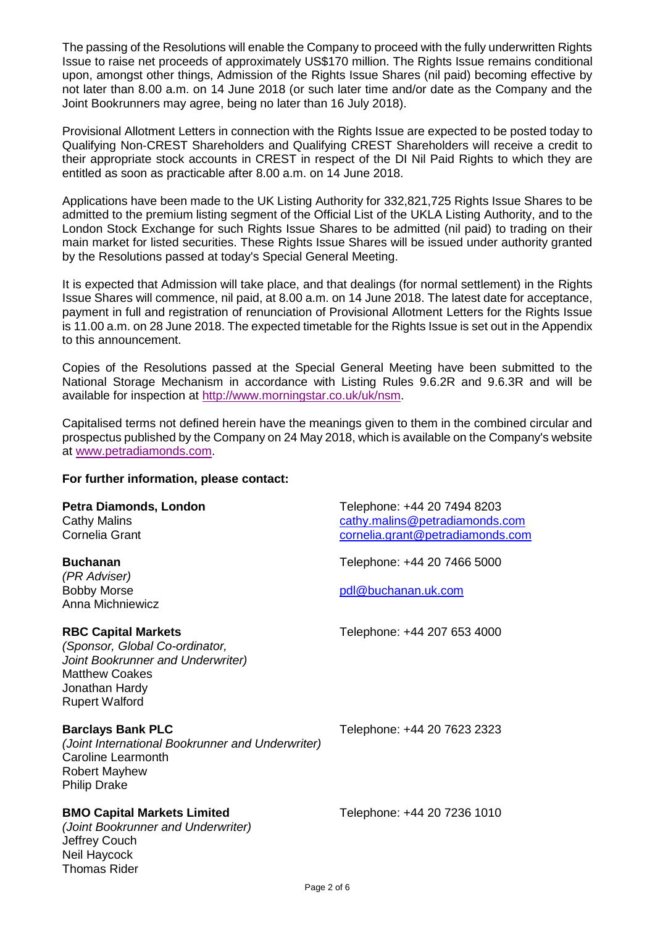The passing of the Resolutions will enable the Company to proceed with the fully underwritten Rights Issue to raise net proceeds of approximately US\$170 million. The Rights Issue remains conditional upon, amongst other things, Admission of the Rights Issue Shares (nil paid) becoming effective by not later than 8.00 a.m. on 14 June 2018 (or such later time and/or date as the Company and the Joint Bookrunners may agree, being no later than 16 July 2018).

Provisional Allotment Letters in connection with the Rights Issue are expected to be posted today to Qualifying Non‐CREST Shareholders and Qualifying CREST Shareholders will receive a credit to their appropriate stock accounts in CREST in respect of the DI Nil Paid Rights to which they are entitled as soon as practicable after 8.00 a.m. on 14 June 2018.

Applications have been made to the UK Listing Authority for 332,821,725 Rights Issue Shares to be admitted to the premium listing segment of the Official List of the UKLA Listing Authority, and to the London Stock Exchange for such Rights Issue Shares to be admitted (nil paid) to trading on their main market for listed securities. These Rights Issue Shares will be issued under authority granted by the Resolutions passed at today's Special General Meeting.

It is expected that Admission will take place, and that dealings (for normal settlement) in the Rights Issue Shares will commence, nil paid, at 8.00 a.m. on 14 June 2018. The latest date for acceptance, payment in full and registration of renunciation of Provisional Allotment Letters for the Rights Issue is 11.00 a.m. on 28 June 2018. The expected timetable for the Rights Issue is set out in the Appendix to this announcement.

Copies of the Resolutions passed at the Special General Meeting have been submitted to the National Storage Mechanism in accordance with Listing Rules 9.6.2R and 9.6.3R and will be available for inspection at [http://www.morningstar.co.uk/uk/nsm.](http://www.morningstar.co.uk/uk/nsm)

Capitalised terms not defined herein have the meanings given to them in the combined circular and prospectus published by the Company on 24 May 2018, which is available on the Company's website at [www.petradiamonds.com.](http://www.petradiamonds.com/)

# **For further information, please contact:**

| Petra Diamonds, London<br><b>Cathy Malins</b><br><b>Cornelia Grant</b>                                                                                                | Telephone: +44 20 7494 8203<br>cathy.malins@petradiamonds.com<br>cornelia.grant@petradiamonds.com |
|-----------------------------------------------------------------------------------------------------------------------------------------------------------------------|---------------------------------------------------------------------------------------------------|
| <b>Buchanan</b><br>(PR Adviser)<br><b>Bobby Morse</b><br>Anna Michniewicz                                                                                             | Telephone: +44 20 7466 5000<br>pdl@buchanan.uk.com                                                |
| <b>RBC Capital Markets</b><br>(Sponsor, Global Co-ordinator,<br>Joint Bookrunner and Underwriter)<br><b>Matthew Coakes</b><br>Jonathan Hardy<br><b>Rupert Walford</b> | Telephone: +44 207 653 4000                                                                       |
| <b>Barclays Bank PLC</b><br>(Joint International Bookrunner and Underwriter)<br>Caroline Learmonth<br><b>Robert Mayhew</b><br><b>Philip Drake</b>                     | Telephone: +44 20 7623 2323                                                                       |
| <b>BMO Capital Markets Limited</b><br>(Joint Bookrunner and Underwriter)<br>Jeffrey Couch<br>Neil Haycock<br><b>Thomas Rider</b>                                      | Telephone: +44 20 7236 1010                                                                       |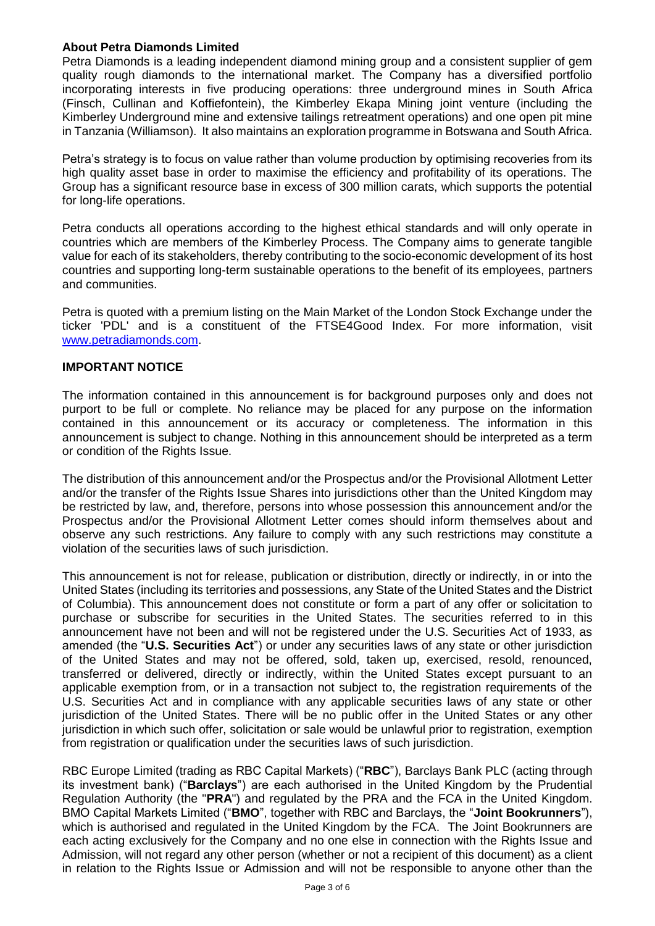# **About Petra Diamonds Limited**

Petra Diamonds is a leading independent diamond mining group and a consistent supplier of gem quality rough diamonds to the international market. The Company has a diversified portfolio incorporating interests in five producing operations: three underground mines in South Africa (Finsch, Cullinan and Koffiefontein), the Kimberley Ekapa Mining joint venture (including the Kimberley Underground mine and extensive tailings retreatment operations) and one open pit mine in Tanzania (Williamson). It also maintains an exploration programme in Botswana and South Africa.

Petra's strategy is to focus on value rather than volume production by optimising recoveries from its high quality asset base in order to maximise the efficiency and profitability of its operations. The Group has a significant resource base in excess of 300 million carats, which supports the potential for long-life operations.

Petra conducts all operations according to the highest ethical standards and will only operate in countries which are members of the Kimberley Process. The Company aims to generate tangible value for each of its stakeholders, thereby contributing to the socio-economic development of its host countries and supporting long-term sustainable operations to the benefit of its employees, partners and communities.

Petra is quoted with a premium listing on the Main Market of the London Stock Exchange under the ticker 'PDL' and is a constituent of the FTSE4Good Index. For more information, visit [www.petradiamonds.com.](http://www.petradiamonds.com/)

### **IMPORTANT NOTICE**

The information contained in this announcement is for background purposes only and does not purport to be full or complete. No reliance may be placed for any purpose on the information contained in this announcement or its accuracy or completeness. The information in this announcement is subject to change. Nothing in this announcement should be interpreted as a term or condition of the Rights Issue.

The distribution of this announcement and/or the Prospectus and/or the Provisional Allotment Letter and/or the transfer of the Rights Issue Shares into jurisdictions other than the United Kingdom may be restricted by law, and, therefore, persons into whose possession this announcement and/or the Prospectus and/or the Provisional Allotment Letter comes should inform themselves about and observe any such restrictions. Any failure to comply with any such restrictions may constitute a violation of the securities laws of such jurisdiction.

This announcement is not for release, publication or distribution, directly or indirectly, in or into the United States (including its territories and possessions, any State of the United States and the District of Columbia). This announcement does not constitute or form a part of any offer or solicitation to purchase or subscribe for securities in the United States. The securities referred to in this announcement have not been and will not be registered under the U.S. Securities Act of 1933, as amended (the "**U.S. Securities Act**") or under any securities laws of any state or other jurisdiction of the United States and may not be offered, sold, taken up, exercised, resold, renounced, transferred or delivered, directly or indirectly, within the United States except pursuant to an applicable exemption from, or in a transaction not subject to, the registration requirements of the U.S. Securities Act and in compliance with any applicable securities laws of any state or other jurisdiction of the United States. There will be no public offer in the United States or any other jurisdiction in which such offer, solicitation or sale would be unlawful prior to registration, exemption from registration or qualification under the securities laws of such jurisdiction.

RBC Europe Limited (trading as RBC Capital Markets) ("**RBC**"), Barclays Bank PLC (acting through its investment bank) ("**Barclays**") are each authorised in the United Kingdom by the Prudential Regulation Authority (the "**PRA**") and regulated by the PRA and the FCA in the United Kingdom. BMO Capital Markets Limited ("**BMO**", together with RBC and Barclays, the "**Joint Bookrunners**"), which is authorised and regulated in the United Kingdom by the FCA. The Joint Bookrunners are each acting exclusively for the Company and no one else in connection with the Rights Issue and Admission, will not regard any other person (whether or not a recipient of this document) as a client in relation to the Rights Issue or Admission and will not be responsible to anyone other than the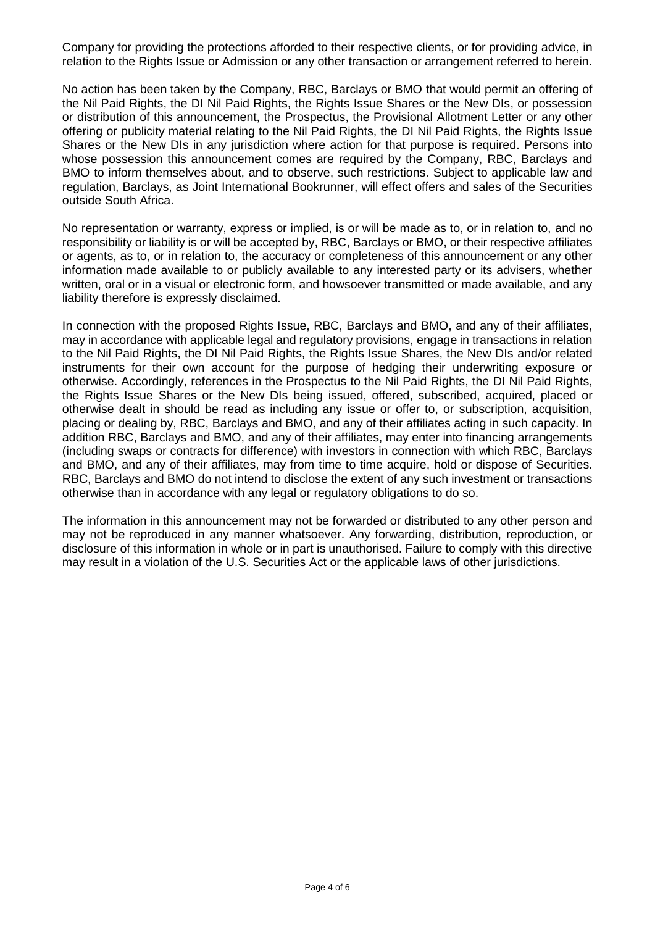Company for providing the protections afforded to their respective clients, or for providing advice, in relation to the Rights Issue or Admission or any other transaction or arrangement referred to herein.

No action has been taken by the Company, RBC, Barclays or BMO that would permit an offering of the Nil Paid Rights, the DI Nil Paid Rights, the Rights Issue Shares or the New DIs, or possession or distribution of this announcement, the Prospectus, the Provisional Allotment Letter or any other offering or publicity material relating to the Nil Paid Rights, the DI Nil Paid Rights, the Rights Issue Shares or the New DIs in any jurisdiction where action for that purpose is required. Persons into whose possession this announcement comes are required by the Company, RBC, Barclays and BMO to inform themselves about, and to observe, such restrictions. Subject to applicable law and regulation, Barclays, as Joint International Bookrunner, will effect offers and sales of the Securities outside South Africa.

No representation or warranty, express or implied, is or will be made as to, or in relation to, and no responsibility or liability is or will be accepted by, RBC, Barclays or BMO, or their respective affiliates or agents, as to, or in relation to, the accuracy or completeness of this announcement or any other information made available to or publicly available to any interested party or its advisers, whether written, oral or in a visual or electronic form, and howsoever transmitted or made available, and any liability therefore is expressly disclaimed.

In connection with the proposed Rights Issue, RBC, Barclays and BMO, and any of their affiliates, may in accordance with applicable legal and regulatory provisions, engage in transactions in relation to the Nil Paid Rights, the DI Nil Paid Rights, the Rights Issue Shares, the New DIs and/or related instruments for their own account for the purpose of hedging their underwriting exposure or otherwise. Accordingly, references in the Prospectus to the Nil Paid Rights, the DI Nil Paid Rights, the Rights Issue Shares or the New DIs being issued, offered, subscribed, acquired, placed or otherwise dealt in should be read as including any issue or offer to, or subscription, acquisition, placing or dealing by, RBC, Barclays and BMO, and any of their affiliates acting in such capacity. In addition RBC, Barclays and BMO, and any of their affiliates, may enter into financing arrangements (including swaps or contracts for difference) with investors in connection with which RBC, Barclays and BMO, and any of their affiliates, may from time to time acquire, hold or dispose of Securities. RBC, Barclays and BMO do not intend to disclose the extent of any such investment or transactions otherwise than in accordance with any legal or regulatory obligations to do so.

The information in this announcement may not be forwarded or distributed to any other person and may not be reproduced in any manner whatsoever. Any forwarding, distribution, reproduction, or disclosure of this information in whole or in part is unauthorised. Failure to comply with this directive may result in a violation of the U.S. Securities Act or the applicable laws of other jurisdictions.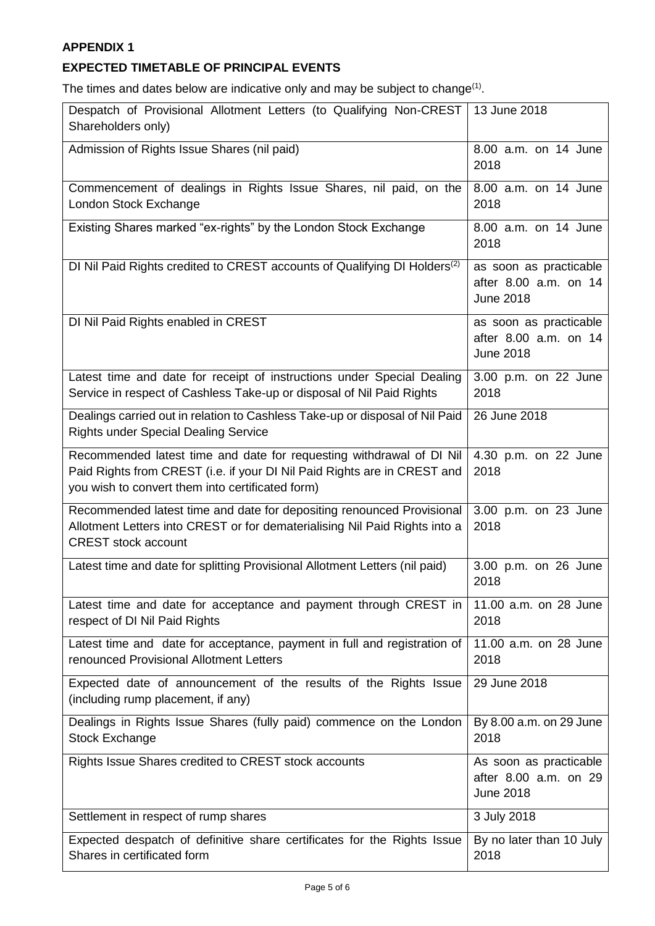# **APPENDIX 1**

# **EXPECTED TIMETABLE OF PRINCIPAL EVENTS**

The times and dates below are indicative only and may be subject to change $(1)$ .

| Despatch of Provisional Allotment Letters (to Qualifying Non-CREST<br>Shareholders only)                                                                                                             | 13 June 2018                                                        |  |
|------------------------------------------------------------------------------------------------------------------------------------------------------------------------------------------------------|---------------------------------------------------------------------|--|
| Admission of Rights Issue Shares (nil paid)                                                                                                                                                          | 8.00 a.m. on 14 June<br>2018                                        |  |
| Commencement of dealings in Rights Issue Shares, nil paid, on the<br>London Stock Exchange                                                                                                           | 8.00 a.m. on 14 June<br>2018                                        |  |
| Existing Shares marked "ex-rights" by the London Stock Exchange                                                                                                                                      | 8.00 a.m. on 14 June<br>2018                                        |  |
| DI Nil Paid Rights credited to CREST accounts of Qualifying DI Holders <sup>(2)</sup>                                                                                                                | as soon as practicable<br>after 8.00 a.m. on 14<br><b>June 2018</b> |  |
| DI Nil Paid Rights enabled in CREST                                                                                                                                                                  | as soon as practicable<br>after 8.00 a.m. on 14<br><b>June 2018</b> |  |
| Latest time and date for receipt of instructions under Special Dealing<br>Service in respect of Cashless Take-up or disposal of Nil Paid Rights                                                      | 3.00 p.m. on 22 June<br>2018                                        |  |
| Dealings carried out in relation to Cashless Take-up or disposal of Nil Paid<br><b>Rights under Special Dealing Service</b>                                                                          | 26 June 2018                                                        |  |
| Recommended latest time and date for requesting withdrawal of DI Nil<br>Paid Rights from CREST (i.e. if your DI Nil Paid Rights are in CREST and<br>you wish to convert them into certificated form) | 4.30 p.m. on 22 June<br>2018                                        |  |
| Recommended latest time and date for depositing renounced Provisional<br>Allotment Letters into CREST or for dematerialising Nil Paid Rights into a<br><b>CREST</b> stock account                    | 3.00 p.m. on 23 June<br>2018                                        |  |
| Latest time and date for splitting Provisional Allotment Letters (nil paid)                                                                                                                          | 3.00 p.m. on 26 June<br>2018                                        |  |
| Latest time and date for acceptance and payment through CREST in<br>respect of DI Nil Paid Rights                                                                                                    | 11.00 a.m. on 28 June<br>2018                                       |  |
| Latest time and date for acceptance, payment in full and registration of<br>renounced Provisional Allotment Letters                                                                                  | 11.00 a.m. on 28 June<br>2018                                       |  |
| Expected date of announcement of the results of the Rights Issue<br>(including rump placement, if any)                                                                                               | 29 June 2018                                                        |  |
| Dealings in Rights Issue Shares (fully paid) commence on the London<br><b>Stock Exchange</b>                                                                                                         | By 8.00 a.m. on 29 June<br>2018                                     |  |
| Rights Issue Shares credited to CREST stock accounts                                                                                                                                                 | As soon as practicable<br>after 8.00 a.m. on 29<br><b>June 2018</b> |  |
| Settlement in respect of rump shares                                                                                                                                                                 | 3 July 2018                                                         |  |
| Expected despatch of definitive share certificates for the Rights Issue<br>Shares in certificated form                                                                                               | By no later than 10 July<br>2018                                    |  |